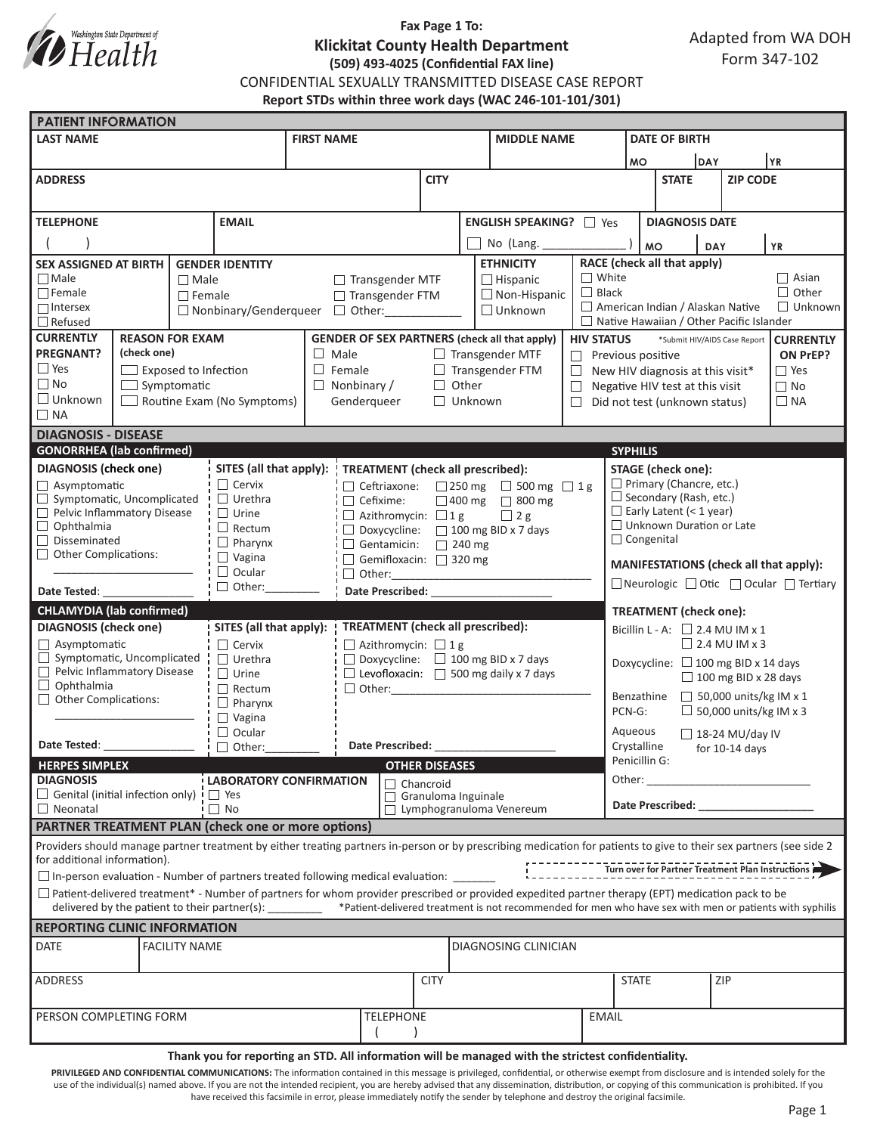

# **Fax Page 1 To: Klickitat County Health Department (509) 493-4025 (Confidential FAX line)**

CONFIDENTIAL SEXUALLY TRANSMITTED DISEASE CASE REPORT

**Report STDs within three work days (WAC 246-101-101/301)**

|                                                                                                                                                                                                                                                                                                                           |                                                     |                      |                                                                                                    |                                                          | <b>PATIENT INFORMATION</b> |                                                               |                         |                                                              |                                                                                                       |                                                                                                                                                                                                                                |                       |  |     |              |  |  |  |  |
|---------------------------------------------------------------------------------------------------------------------------------------------------------------------------------------------------------------------------------------------------------------------------------------------------------------------------|-----------------------------------------------------|----------------------|----------------------------------------------------------------------------------------------------|----------------------------------------------------------|----------------------------|---------------------------------------------------------------|-------------------------|--------------------------------------------------------------|-------------------------------------------------------------------------------------------------------|--------------------------------------------------------------------------------------------------------------------------------------------------------------------------------------------------------------------------------|-----------------------|--|-----|--------------|--|--|--|--|
| <b>LAST NAME</b>                                                                                                                                                                                                                                                                                                          |                                                     |                      | <b>FIRST NAME</b>                                                                                  |                                                          |                            |                                                               | <b>MIDDLE NAME</b>      |                                                              |                                                                                                       | <b>DATE OF BIRTH</b>                                                                                                                                                                                                           |                       |  |     |              |  |  |  |  |
|                                                                                                                                                                                                                                                                                                                           |                                                     |                      |                                                                                                    |                                                          |                            |                                                               |                         |                                                              |                                                                                                       |                                                                                                                                                                                                                                | DAY<br><b>MO</b>      |  |     | YR           |  |  |  |  |
| <b>ADDRESS</b>                                                                                                                                                                                                                                                                                                            |                                                     |                      |                                                                                                    | <b>CITY</b>                                              |                            |                                                               |                         |                                                              | <b>STATE</b>                                                                                          |                                                                                                                                                                                                                                | <b>ZIP CODE</b>       |  |     |              |  |  |  |  |
|                                                                                                                                                                                                                                                                                                                           |                                                     |                      |                                                                                                    |                                                          |                            |                                                               |                         |                                                              |                                                                                                       |                                                                                                                                                                                                                                |                       |  |     |              |  |  |  |  |
| <b>TELEPHONE</b><br><b>EMAIL</b>                                                                                                                                                                                                                                                                                          |                                                     |                      |                                                                                                    |                                                          |                            |                                                               | ENGLISH SPEAKING?   Yes |                                                              |                                                                                                       |                                                                                                                                                                                                                                | <b>DIAGNOSIS DATE</b> |  |     |              |  |  |  |  |
|                                                                                                                                                                                                                                                                                                                           |                                                     |                      |                                                                                                    |                                                          |                            | No (Lang. _____                                               |                         |                                                              |                                                                                                       |                                                                                                                                                                                                                                |                       |  |     |              |  |  |  |  |
| <b>SEX ASSIGNED AT BIRTH</b><br><b>GENDER IDENTITY</b>                                                                                                                                                                                                                                                                    |                                                     |                      |                                                                                                    |                                                          |                            | <b>ETHNICITY</b>                                              |                         | <b>MO</b><br><b>YR</b><br>DAY<br>RACE (check all that apply) |                                                                                                       |                                                                                                                                                                                                                                |                       |  |     |              |  |  |  |  |
| $\Box$ Male<br>$\Box$ Male                                                                                                                                                                                                                                                                                                |                                                     |                      |                                                                                                    | $\Box$ Transgender MTF<br>$\Box$ Hispanic                |                            |                                                               |                         |                                                              |                                                                                                       | $\Box$ White<br>$\Box$ Asian                                                                                                                                                                                                   |                       |  |     |              |  |  |  |  |
| $\Box$ Female                                                                                                                                                                                                                                                                                                             |                                                     | $\Box$ Female        | □ Transgender FTM                                                                                  |                                                          |                            | $\Box$ Non-Hispanic                                           |                         |                                                              | $\Box$ Black                                                                                          |                                                                                                                                                                                                                                |                       |  |     | $\Box$ Other |  |  |  |  |
| $\Box$ Intersex<br>$\Box$ Refused                                                                                                                                                                                                                                                                                         |                                                     |                      | $\Box$ Unknown<br>$\Box$ Nonbinary/Genderqueer $\Box$ Other:                                       |                                                          |                            |                                                               |                         |                                                              | American Indian / Alaskan Native<br>$\Box$ Unknown<br>$\Box$ Native Hawaiian / Other Pacific Islander |                                                                                                                                                                                                                                |                       |  |     |              |  |  |  |  |
| <b>CURRENTLY</b><br><b>REASON FOR EXAM</b>                                                                                                                                                                                                                                                                                |                                                     |                      | <b>GENDER OF SEX PARTNERS (check all that apply)</b>                                               |                                                          |                            |                                                               |                         |                                                              | *Submit HIV/AIDS Case Report<br><b>CURRENTLY</b>                                                      |                                                                                                                                                                                                                                |                       |  |     |              |  |  |  |  |
| <b>PREGNANT?</b>                                                                                                                                                                                                                                                                                                          | (check one)                                         |                      |                                                                                                    | $\Box$ Male<br>$\Box$ Transgender MTF                    |                            |                                                               |                         |                                                              | <b>HIV STATUS</b>                                                                                     | ON PrEP?<br>$\Box$ Previous positive                                                                                                                                                                                           |                       |  |     |              |  |  |  |  |
| $\Box$ Yes                                                                                                                                                                                                                                                                                                                | $\Box$ Exposed to Infection                         |                      |                                                                                                    | $\Box$ Transgender FTM<br>$\Box$ Female                  |                            |                                                               |                         |                                                              |                                                                                                       | $\Box$ Yes<br>$\Box$ New HIV diagnosis at this visit*                                                                                                                                                                          |                       |  |     |              |  |  |  |  |
| $\Box$ No                                                                                                                                                                                                                                                                                                                 | $\Box$ Symptomatic                                  |                      |                                                                                                    | Other<br>$\Box$ Nonbinary /<br>$\Box$<br>$\Box$          |                            |                                                               |                         |                                                              |                                                                                                       | $\Box$ No<br>Negative HIV test at this visit                                                                                                                                                                                   |                       |  |     |              |  |  |  |  |
| $\Box$ Unknown<br>Routine Exam (No Symptoms)                                                                                                                                                                                                                                                                              |                                                     |                      |                                                                                                    | Genderqueer<br>$\Box$ Unknown                            |                            |                                                               |                         |                                                              |                                                                                                       | $\Box$ Did not test (unknown status)<br>$\Box$ NA                                                                                                                                                                              |                       |  |     |              |  |  |  |  |
| $\Box$ NA<br><b>DIAGNOSIS - DISEASE</b>                                                                                                                                                                                                                                                                                   |                                                     |                      |                                                                                                    |                                                          |                            |                                                               |                         |                                                              |                                                                                                       |                                                                                                                                                                                                                                |                       |  |     |              |  |  |  |  |
|                                                                                                                                                                                                                                                                                                                           |                                                     |                      |                                                                                                    |                                                          |                            |                                                               |                         |                                                              |                                                                                                       |                                                                                                                                                                                                                                |                       |  |     |              |  |  |  |  |
| <b>GONORRHEA</b> (lab confirmed)<br><b>DIAGNOSIS</b> (check one)<br>SITES (all that apply):                                                                                                                                                                                                                               |                                                     |                      |                                                                                                    | <b>TREATMENT</b> (check all prescribed):                 |                            |                                                               |                         |                                                              |                                                                                                       | <b>SYPHILIS</b><br><b>STAGE</b> (check one):                                                                                                                                                                                   |                       |  |     |              |  |  |  |  |
| $\Box$ Asymptomatic                                                                                                                                                                                                                                                                                                       |                                                     |                      | $\Box$ Cervix<br>$\Box$ Ceftriaxone:<br>□ 250 mg □ 500 mg □ 1g                                     |                                                          |                            |                                                               |                         |                                                              |                                                                                                       | $\Box$ Primary (Chancre, etc.)                                                                                                                                                                                                 |                       |  |     |              |  |  |  |  |
|                                                                                                                                                                                                                                                                                                                           | $\Box$ Symptomatic, Uncomplicated<br>$\Box$ Urethra |                      |                                                                                                    |                                                          | $\Box$ Cefixime:           |                                                               |                         | $\Box$ 400 mg $\Box$ 800 mg                                  |                                                                                                       | $\Box$ Secondary (Rash, etc.)                                                                                                                                                                                                  |                       |  |     |              |  |  |  |  |
| Pelvic Inflammatory Disease<br>$\Box$ Ophthalmia                                                                                                                                                                                                                                                                          |                                                     |                      | $\Box$ Urine                                                                                       | $\Box$ Azithromycin: $\Box$ 1 g<br>$\Box$ 2 g            |                            |                                                               |                         |                                                              |                                                                                                       | $\Box$ Early Latent (< 1 year)<br>$\Box$ Unknown Duration or Late                                                                                                                                                              |                       |  |     |              |  |  |  |  |
| $\Box$ Rectum<br>$\Box$ Disseminated                                                                                                                                                                                                                                                                                      |                                                     |                      | $\Box$ Pharynx                                                                                     | $\Box$ Doxycycline: $\Box$ 100 mg BID x 7 days           |                            |                                                               |                         |                                                              |                                                                                                       | $\Box$ Congenital                                                                                                                                                                                                              |                       |  |     |              |  |  |  |  |
| $\Box$ Other Complications:                                                                                                                                                                                                                                                                                               |                                                     |                      | $\Box$ Vagina                                                                                      | $\Box$ Gentamicin: $\Box$ 240 mg<br>Gemifloxacin: 320 mg |                            |                                                               |                         |                                                              |                                                                                                       |                                                                                                                                                                                                                                |                       |  |     |              |  |  |  |  |
| $\Box$ Ocular                                                                                                                                                                                                                                                                                                             |                                                     |                      |                                                                                                    | $\Box$ Other:                                            |                            |                                                               |                         |                                                              |                                                                                                       | MANIFESTATIONS (check all that apply):                                                                                                                                                                                         |                       |  |     |              |  |  |  |  |
| $\Box$ Other:<br>Date Tested:                                                                                                                                                                                                                                                                                             |                                                     |                      |                                                                                                    | Date Prescribed: National Prescribed:                    |                            |                                                               |                         |                                                              |                                                                                                       | □ Neurologic □ Otic □ Ocular □ Tertiary                                                                                                                                                                                        |                       |  |     |              |  |  |  |  |
| <b>CHLAMYDIA</b> (lab confirmed)                                                                                                                                                                                                                                                                                          |                                                     |                      |                                                                                                    |                                                          |                            |                                                               |                         |                                                              |                                                                                                       | <b>TREATMENT</b> (check one):                                                                                                                                                                                                  |                       |  |     |              |  |  |  |  |
| <b>DIAGNOSIS</b> (check one)                                                                                                                                                                                                                                                                                              |                                                     |                      | SITES (all that apply):                                                                            | <b>TREATMENT</b> (check all prescribed):                 |                            |                                                               |                         |                                                              |                                                                                                       | Bicillin L - A: $\Box$ 2.4 MU IM x 1                                                                                                                                                                                           |                       |  |     |              |  |  |  |  |
| $\Box$ Asymptomatic<br>$\Box$ Symptomatic, Uncomplicated                                                                                                                                                                                                                                                                  |                                                     |                      | $\Box$ Cervix<br>$\Box$ Azithromycin: $\Box$ 1 g<br>$\Box$ Doxycycline: $\Box$ 100 mg BID x 7 days |                                                          |                            |                                                               |                         |                                                              |                                                                                                       | $\Box$ 2.4 MU IM x 3                                                                                                                                                                                                           |                       |  |     |              |  |  |  |  |
| Pelvic Inflammatory Disease                                                                                                                                                                                                                                                                                               |                                                     |                      | $\Box$ Urethra<br>$\Box$ Urine                                                                     |                                                          |                            | $\Box$ Levofloxacin: $\Box$ 500 mg daily x 7 days             |                         |                                                              |                                                                                                       | Doxycycline: $\Box$ 100 mg BID x 14 days                                                                                                                                                                                       |                       |  |     |              |  |  |  |  |
| $\Box$ Ophthalmia                                                                                                                                                                                                                                                                                                         |                                                     |                      | $\Box$ Rectum                                                                                      |                                                          |                            |                                                               |                         |                                                              | $\Box$ 100 mg BID x 28 days                                                                           |                                                                                                                                                                                                                                |                       |  |     |              |  |  |  |  |
| Other Complications:                                                                                                                                                                                                                                                                                                      |                                                     |                      | $\Box$ Pharynx                                                                                     |                                                          |                            |                                                               |                         |                                                              |                                                                                                       | $\Box$ 50,000 units/kg IM x 1<br>Benzathine<br>$\Box$ 50,000 units/kg IM x 3<br>PCN-G:                                                                                                                                         |                       |  |     |              |  |  |  |  |
| $\Box$ Vagina<br>$\Box$ Ocular                                                                                                                                                                                                                                                                                            |                                                     |                      |                                                                                                    |                                                          |                            |                                                               |                         |                                                              | Aqueous                                                                                               |                                                                                                                                                                                                                                |                       |  |     |              |  |  |  |  |
| Date Tested: Note that the state of the state of the state of the state of the state of the state of the state of the state of the state of the state of the state of the state of the state of the state of the state of the<br>$\Box$ Other:                                                                            |                                                     |                      | <b>Date Prescribed:</b>                                                                            |                                                          |                            |                                                               |                         |                                                              | $\Box$ 18-24 MU/day IV<br>Crystalline<br>for $10-14$ days                                             |                                                                                                                                                                                                                                |                       |  |     |              |  |  |  |  |
| <b>HERPES SIMPLEX</b><br><b>OTHER DISEASES</b>                                                                                                                                                                                                                                                                            |                                                     |                      |                                                                                                    |                                                          |                            |                                                               |                         |                                                              |                                                                                                       |                                                                                                                                                                                                                                | Penicillin G:         |  |     |              |  |  |  |  |
| <b>DIAGNOSIS</b><br><b>LABORATORY CONFIRMATION</b>                                                                                                                                                                                                                                                                        |                                                     |                      |                                                                                                    | $\sqsupset$ Chancroid                                    |                            |                                                               |                         |                                                              |                                                                                                       | Other:<br><u> 1990 - Johann Barnett, fransk politiker (</u>                                                                                                                                                                    |                       |  |     |              |  |  |  |  |
| $\Box$ Genital (initial infection only) $\vdash$ $\Box$ Yes<br>$\Box$ Neonatal                                                                                                                                                                                                                                            |                                                     |                      | $\Box$ No                                                                                          |                                                          |                            | $\Box$ Granuloma Inguinale<br>$\Box$ Lymphogranuloma Venereum |                         |                                                              |                                                                                                       | Date Prescribed: Note that the present of the state of the state of the state of the state of the state of the state of the state of the state of the state of the state of the state of the state of the state of the state o |                       |  |     |              |  |  |  |  |
| PARTNER TREATMENT PLAN (check one or more options)                                                                                                                                                                                                                                                                        |                                                     |                      |                                                                                                    |                                                          |                            |                                                               |                         |                                                              |                                                                                                       |                                                                                                                                                                                                                                |                       |  |     |              |  |  |  |  |
|                                                                                                                                                                                                                                                                                                                           |                                                     |                      |                                                                                                    |                                                          |                            |                                                               |                         |                                                              |                                                                                                       |                                                                                                                                                                                                                                |                       |  |     |              |  |  |  |  |
| Providers should manage partner treatment by either treating partners in-person or by prescribing medication for patients to give to their sex partners (see side 2<br>for additional information).                                                                                                                       |                                                     |                      |                                                                                                    |                                                          |                            |                                                               |                         |                                                              |                                                                                                       |                                                                                                                                                                                                                                |                       |  |     |              |  |  |  |  |
| $\square$ In-person evaluation - Number of partners treated following medical evaluation: $\square$                                                                                                                                                                                                                       |                                                     |                      |                                                                                                    |                                                          |                            |                                                               |                         |                                                              |                                                                                                       |                                                                                                                                                                                                                                |                       |  |     |              |  |  |  |  |
| $\Box$ Patient-delivered treatment* - Number of partners for whom provider prescribed or provided expedited partner therapy (EPT) medication pack to be<br>delivered by the patient to their partner(s): ________ *Patient-delivered treatment is not recommended for men who have sex with men or patients with syphilis |                                                     |                      |                                                                                                    |                                                          |                            |                                                               |                         |                                                              |                                                                                                       |                                                                                                                                                                                                                                |                       |  |     |              |  |  |  |  |
|                                                                                                                                                                                                                                                                                                                           |                                                     |                      |                                                                                                    |                                                          |                            |                                                               |                         |                                                              |                                                                                                       |                                                                                                                                                                                                                                |                       |  |     |              |  |  |  |  |
| <b>REPORTING CLINIC INFORMATION</b>                                                                                                                                                                                                                                                                                       |                                                     |                      |                                                                                                    |                                                          |                            |                                                               |                         |                                                              |                                                                                                       |                                                                                                                                                                                                                                |                       |  |     |              |  |  |  |  |
| <b>DATE</b>                                                                                                                                                                                                                                                                                                               |                                                     | <b>FACILITY NAME</b> |                                                                                                    |                                                          |                            |                                                               | DIAGNOSING CLINICIAN    |                                                              |                                                                                                       |                                                                                                                                                                                                                                |                       |  |     |              |  |  |  |  |
|                                                                                                                                                                                                                                                                                                                           |                                                     |                      |                                                                                                    |                                                          |                            | <b>CITY</b>                                                   |                         |                                                              |                                                                                                       | <b>STATE</b>                                                                                                                                                                                                                   |                       |  | ZIP |              |  |  |  |  |
| ADDRESS                                                                                                                                                                                                                                                                                                                   |                                                     |                      |                                                                                                    |                                                          |                            |                                                               |                         |                                                              |                                                                                                       |                                                                                                                                                                                                                                |                       |  |     |              |  |  |  |  |
| <b>TELEPHONE</b><br>PERSON COMPLETING FORM<br><b>EMAIL</b>                                                                                                                                                                                                                                                                |                                                     |                      |                                                                                                    |                                                          |                            |                                                               |                         |                                                              |                                                                                                       |                                                                                                                                                                                                                                |                       |  |     |              |  |  |  |  |
|                                                                                                                                                                                                                                                                                                                           |                                                     |                      |                                                                                                    |                                                          |                            |                                                               |                         |                                                              |                                                                                                       |                                                                                                                                                                                                                                |                       |  |     |              |  |  |  |  |
|                                                                                                                                                                                                                                                                                                                           |                                                     |                      |                                                                                                    |                                                          |                            |                                                               |                         |                                                              |                                                                                                       |                                                                                                                                                                                                                                |                       |  |     |              |  |  |  |  |

#### **Thank you for reporting an STD. All information will be managed with the strictest confidentiality.**

PRIVILEGED AND CONFIDENTIAL COMMUNICATIONS: The information contained in this message is privileged, confidential, or otherwise exempt from disclosure and is intended solely for the use of the individual(s) named above. If you are not the intended recipient, you are hereby advised that any dissemination, distribution, or copying of this communication is prohibited. If you have received this facsimile in error, please immediately notify the sender by telephone and destroy the original facsimile.